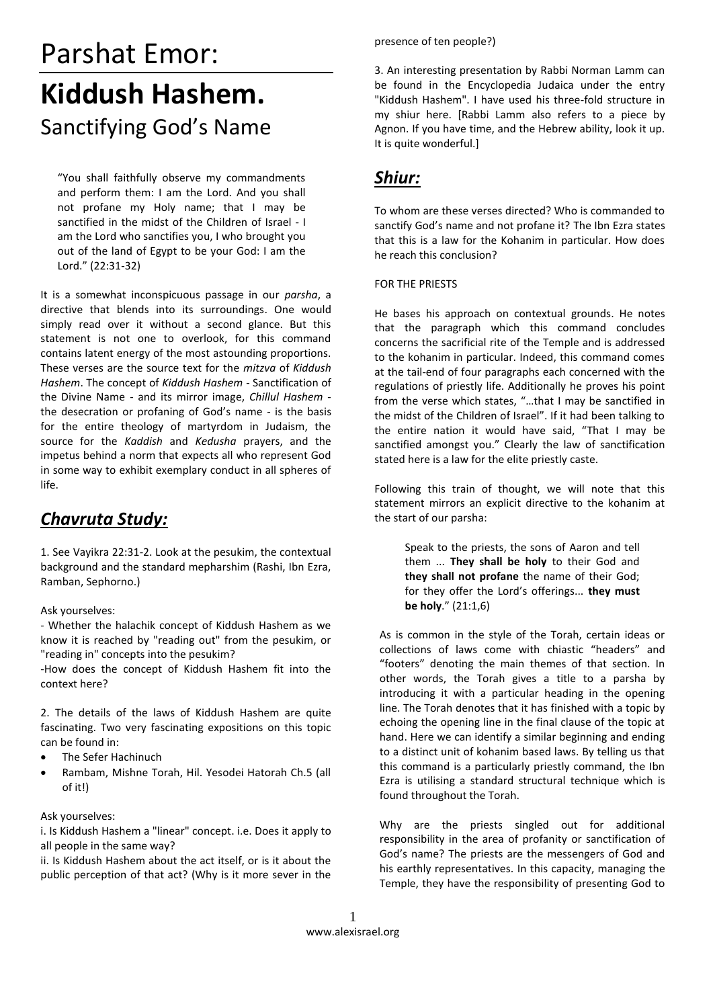# Parshat Emor: **Kiddush Hashem.** Sanctifying God's Name

"You shall faithfully observe my commandments and perform them: I am the Lord. And you shall not profane my Holy name; that I may be sanctified in the midst of the Children of Israel - I am the Lord who sanctifies you, I who brought you out of the land of Egypt to be your God: I am the Lord." (22:31-32)

It is a somewhat inconspicuous passage in our *parsha*, a directive that blends into its surroundings. One would simply read over it without a second glance. But this statement is not one to overlook, for this command contains latent energy of the most astounding proportions. These verses are the source text for the *mitzva* of *Kiddush Hashem*. The concept of *Kiddush Hashem* - Sanctification of the Divine Name - and its mirror image, *Chillul Hashem* the desecration or profaning of God's name - is the basis for the entire theology of martyrdom in Judaism, the source for the *Kaddish* and *Kedusha* prayers, and the impetus behind a norm that expects all who represent God in some way to exhibit exemplary conduct in all spheres of life.

# *Chavruta Study:*

1. See Vayikra 22:31-2. Look at the pesukim, the contextual background and the standard mepharshim (Rashi, Ibn Ezra, Ramban, Sephorno.)

Ask yourselves:

- Whether the halachik concept of Kiddush Hashem as we know it is reached by "reading out" from the pesukim, or "reading in" concepts into the pesukim?

-How does the concept of Kiddush Hashem fit into the context here?

2. The details of the laws of Kiddush Hashem are quite fascinating. Two very fascinating expositions on this topic can be found in:

- The Sefer Hachinuch
- Rambam, Mishne Torah, Hil. Yesodei Hatorah Ch.5 (all of it!)

## Ask yourselves:

i. Is Kiddush Hashem a "linear" concept. i.e. Does it apply to all people in the same way?

ii. Is Kiddush Hashem about the act itself, or is it about the public perception of that act? (Why is it more sever in the

#### presence of ten people?)

3. An interesting presentation by Rabbi Norman Lamm can be found in the Encyclopedia Judaica under the entry "Kiddush Hashem". I have used his three-fold structure in my shiur here. [Rabbi Lamm also refers to a piece by Agnon. If you have time, and the Hebrew ability, look it up. It is quite wonderful.]

# *Shiur:*

To whom are these verses directed? Who is commanded to sanctify God's name and not profane it? The Ibn Ezra states that this is a law for the Kohanim in particular. How does he reach this conclusion?

#### FOR THE PRIESTS

He bases his approach on contextual grounds. He notes that the paragraph which this command concludes concerns the sacrificial rite of the Temple and is addressed to the kohanim in particular. Indeed, this command comes at the tail-end of four paragraphs each concerned with the regulations of priestly life. Additionally he proves his point from the verse which states, "…that I may be sanctified in the midst of the Children of Israel". If it had been talking to the entire nation it would have said, "That I may be sanctified amongst you." Clearly the law of sanctification stated here is a law for the elite priestly caste.

Following this train of thought, we will note that this statement mirrors an explicit directive to the kohanim at the start of our parsha:

> Speak to the priests, the sons of Aaron and tell them ... **They shall be holy** to their God and **they shall not profane** the name of their God; for they offer the Lord's offerings... **they must be holy**." (21:1,6)

As is common in the style of the Torah, certain ideas or collections of laws come with chiastic "headers" and "footers" denoting the main themes of that section. In other words, the Torah gives a title to a parsha by introducing it with a particular heading in the opening line. The Torah denotes that it has finished with a topic by echoing the opening line in the final clause of the topic at hand. Here we can identify a similar beginning and ending to a distinct unit of kohanim based laws. By telling us that this command is a particularly priestly command, the Ibn Ezra is utilising a standard structural technique which is found throughout the Torah.

Why are the priests singled out for additional responsibility in the area of profanity or sanctification of God's name? The priests are the messengers of God and his earthly representatives. In this capacity, managing the Temple, they have the responsibility of presenting God to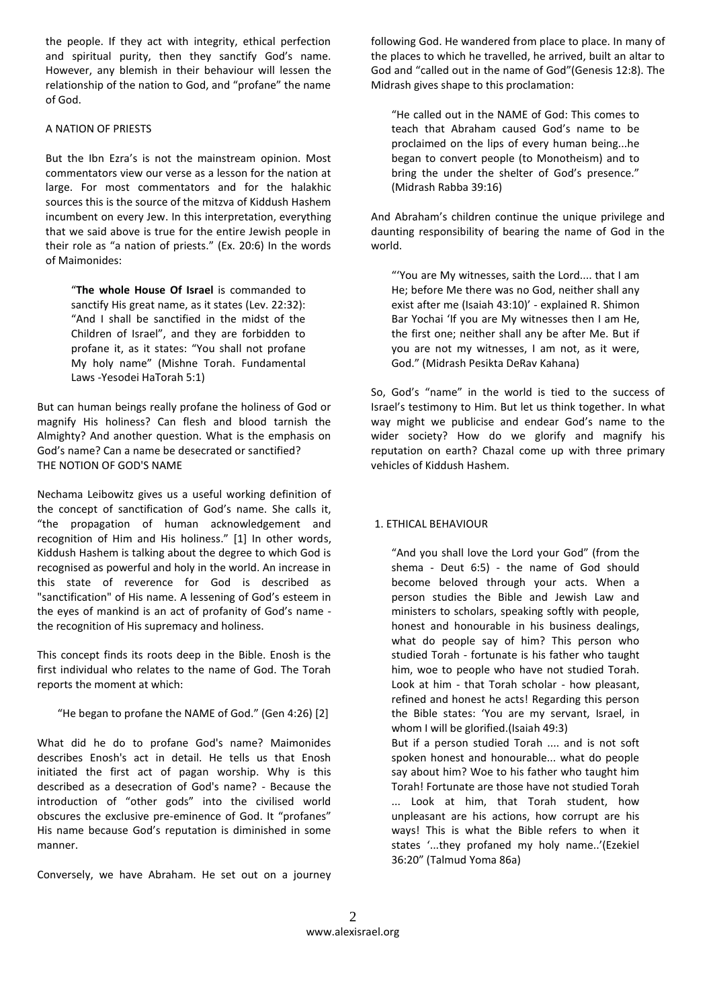the people. If they act with integrity, ethical perfection and spiritual purity, then they sanctify God's name. However, any blemish in their behaviour will lessen the relationship of the nation to God, and "profane" the name of God.

#### A NATION OF PRIESTS

But the Ibn Ezra's is not the mainstream opinion. Most commentators view our verse as a lesson for the nation at large. For most commentators and for the halakhic sources this is the source of the mitzva of Kiddush Hashem incumbent on every Jew. In this interpretation, everything that we said above is true for the entire Jewish people in their role as "a nation of priests." (Ex. 20:6) In the words of Maimonides:

"**The whole House Of Israel** is commanded to sanctify His great name, as it states (Lev. 22:32): "And I shall be sanctified in the midst of the Children of Israel", and they are forbidden to profane it, as it states: "You shall not profane My holy name" (Mishne Torah. Fundamental Laws -Yesodei HaTorah 5:1)

But can human beings really profane the holiness of God or magnify His holiness? Can flesh and blood tarnish the Almighty? And another question. What is the emphasis on God's name? Can a name be desecrated or sanctified? THE NOTION OF GOD'S NAME

Nechama Leibowitz gives us a useful working definition of the concept of sanctification of God's name. She calls it, "the propagation of human acknowledgement and recognition of Him and His holiness." [1] In other words, Kiddush Hashem is talking about the degree to which God is recognised as powerful and holy in the world. An increase in this state of reverence for God is described as "sanctification" of His name. A lessening of God's esteem in the eyes of mankind is an act of profanity of God's name the recognition of His supremacy and holiness.

This concept finds its roots deep in the Bible. Enosh is the first individual who relates to the name of God. The Torah reports the moment at which:

#### "He began to profane the NAME of God." (Gen 4:26) [2]

What did he do to profane God's name? Maimonides describes Enosh's act in detail. He tells us that Enosh initiated the first act of pagan worship. Why is this described as a desecration of God's name? - Because the introduction of "other gods" into the civilised world obscures the exclusive pre-eminence of God. It "profanes" His name because God's reputation is diminished in some manner.

Conversely, we have Abraham. He set out on a journey

following God. He wandered from place to place. In many of the places to which he travelled, he arrived, built an altar to God and "called out in the name of God"(Genesis 12:8). The Midrash gives shape to this proclamation:

"He called out in the NAME of God: This comes to teach that Abraham caused God's name to be proclaimed on the lips of every human being...he began to convert people (to Monotheism) and to bring the under the shelter of God's presence." (Midrash Rabba 39:16)

And Abraham's children continue the unique privilege and daunting responsibility of bearing the name of God in the world.

"'You are My witnesses, saith the Lord.... that I am He; before Me there was no God, neither shall any exist after me (Isaiah 43:10)' - explained R. Shimon Bar Yochai 'If you are My witnesses then I am He, the first one; neither shall any be after Me. But if you are not my witnesses, I am not, as it were, God." (Midrash Pesikta DeRav Kahana)

So, God's "name" in the world is tied to the success of Israel's testimony to Him. But let us think together. In what way might we publicise and endear God's name to the wider society? How do we glorify and magnify his reputation on earth? Chazal come up with three primary vehicles of Kiddush Hashem.

## 1. ETHICAL BEHAVIOUR

"And you shall love the Lord your God" (from the shema - Deut 6:5) - the name of God should become beloved through your acts. When a person studies the Bible and Jewish Law and ministers to scholars, speaking softly with people, honest and honourable in his business dealings, what do people say of him? This person who studied Torah - fortunate is his father who taught him, woe to people who have not studied Torah. Look at him - that Torah scholar - how pleasant, refined and honest he acts! Regarding this person the Bible states: 'You are my servant, Israel, in whom I will be glorified.(Isaiah 49:3)

But if a person studied Torah .... and is not soft spoken honest and honourable... what do people say about him? Woe to his father who taught him Torah! Fortunate are those have not studied Torah ... Look at him, that Torah student, how unpleasant are his actions, how corrupt are his ways! This is what the Bible refers to when it states '...they profaned my holy name..'(Ezekiel 36:20" (Talmud Yoma 86a)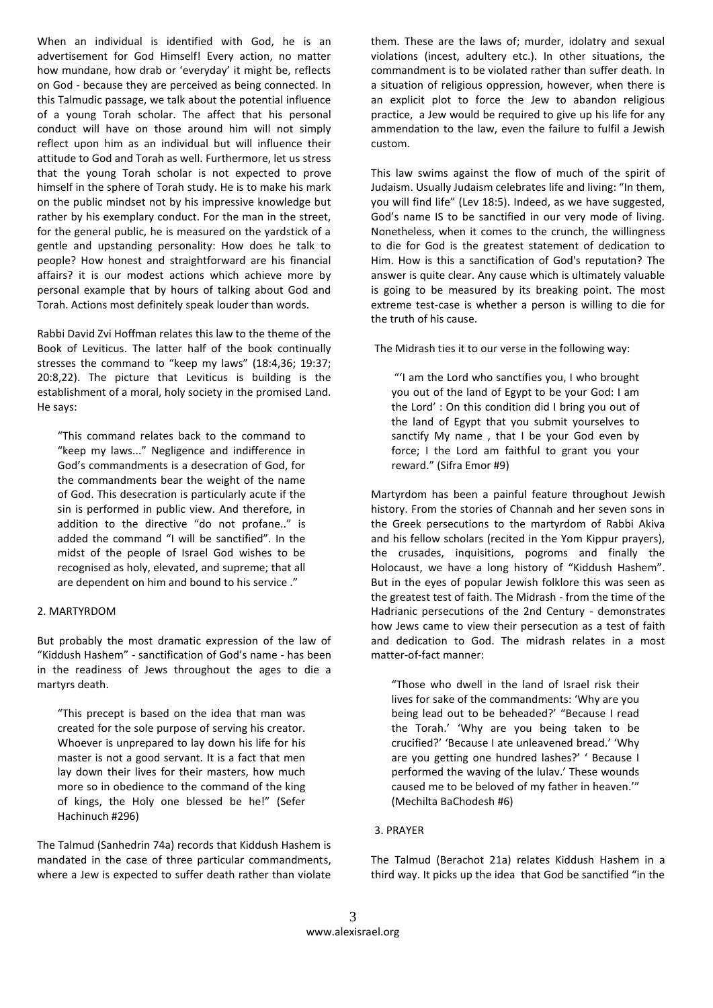When an individual is identified with God, he is an advertisement for God Himself! Every action, no matter how mundane, how drab or 'everyday' it might be, reflects on God - because they are perceived as being connected. In this Talmudic passage, we talk about the potential influence of a young Torah scholar. The affect that his personal conduct will have on those around him will not simply reflect upon him as an individual but will influence their attitude to God and Torah as well. Furthermore, let us stress that the young Torah scholar is not expected to prove himself in the sphere of Torah study. He is to make his mark on the public mindset not by his impressive knowledge but rather by his exemplary conduct. For the man in the street, for the general public, he is measured on the yardstick of a gentle and upstanding personality: How does he talk to people? How honest and straightforward are his financial affairs? it is our modest actions which achieve more by personal example that by hours of talking about God and Torah. Actions most definitely speak louder than words.

Rabbi David Zvi Hoffman relates this law to the theme of the Book of Leviticus. The latter half of the book continually stresses the command to "keep my laws" (18:4,36; 19:37; 20:8,22). The picture that Leviticus is building is the establishment of a moral, holy society in the promised Land. He says:

"This command relates back to the command to "keep my laws..." Negligence and indifference in God's commandments is a desecration of God, for the commandments bear the weight of the name of God. This desecration is particularly acute if the sin is performed in public view. And therefore, in addition to the directive "do not profane.." is added the command "I will be sanctified". In the midst of the people of Israel God wishes to be recognised as holy, elevated, and supreme; that all are dependent on him and bound to his service ."

#### 2. MARTYRDOM

But probably the most dramatic expression of the law of "Kiddush Hashem" - sanctification of God's name - has been in the readiness of Jews throughout the ages to die a martyrs death.

"This precept is based on the idea that man was created for the sole purpose of serving his creator. Whoever is unprepared to lay down his life for his master is not a good servant. It is a fact that men lay down their lives for their masters, how much more so in obedience to the command of the king of kings, the Holy one blessed be he!" (Sefer Hachinuch #296)

The Talmud (Sanhedrin 74a) records that Kiddush Hashem is mandated in the case of three particular commandments, where a Jew is expected to suffer death rather than violate them. These are the laws of; murder, idolatry and sexual violations (incest, adultery etc.). In other situations, the commandment is to be violated rather than suffer death. In a situation of religious oppression, however, when there is an explicit plot to force the Jew to abandon religious practice, a Jew would be required to give up his life for any ammendation to the law, even the failure to fulfil a Jewish custom.

This law swims against the flow of much of the spirit of Judaism. Usually Judaism celebrates life and living: "In them, you will find life" (Lev 18:5). Indeed, as we have suggested, God's name IS to be sanctified in our very mode of living. Nonetheless, when it comes to the crunch, the willingness to die for God is the greatest statement of dedication to Him. How is this a sanctification of God's reputation? The answer is quite clear. Any cause which is ultimately valuable is going to be measured by its breaking point. The most extreme test-case is whether a person is willing to die for the truth of his cause.

The Midrash ties it to our verse in the following way:

"'I am the Lord who sanctifies you, I who brought you out of the land of Egypt to be your God: I am the Lord' : On this condition did I bring you out of the land of Egypt that you submit yourselves to sanctify My name , that I be your God even by force; I the Lord am faithful to grant you your reward." (Sifra Emor #9)

Martyrdom has been a painful feature throughout Jewish history. From the stories of Channah and her seven sons in the Greek persecutions to the martyrdom of Rabbi Akiva and his fellow scholars (recited in the Yom Kippur prayers), the crusades, inquisitions, pogroms and finally the Holocaust, we have a long history of "Kiddush Hashem". But in the eyes of popular Jewish folklore this was seen as the greatest test of faith. The Midrash - from the time of the Hadrianic persecutions of the 2nd Century - demonstrates how Jews came to view their persecution as a test of faith and dedication to God. The midrash relates in a most matter-of-fact manner:

"Those who dwell in the land of Israel risk their lives for sake of the commandments: 'Why are you being lead out to be beheaded?' "Because I read the Torah.' 'Why are you being taken to be crucified?' 'Because I ate unleavened bread.' 'Why are you getting one hundred lashes?' ' Because I performed the waving of the lulav.' These wounds caused me to be beloved of my father in heaven.'" (Mechilta BaChodesh #6)

## 3. PRAYER

The Talmud (Berachot 21a) relates Kiddush Hashem in a third way. It picks up the idea that God be sanctified "in the